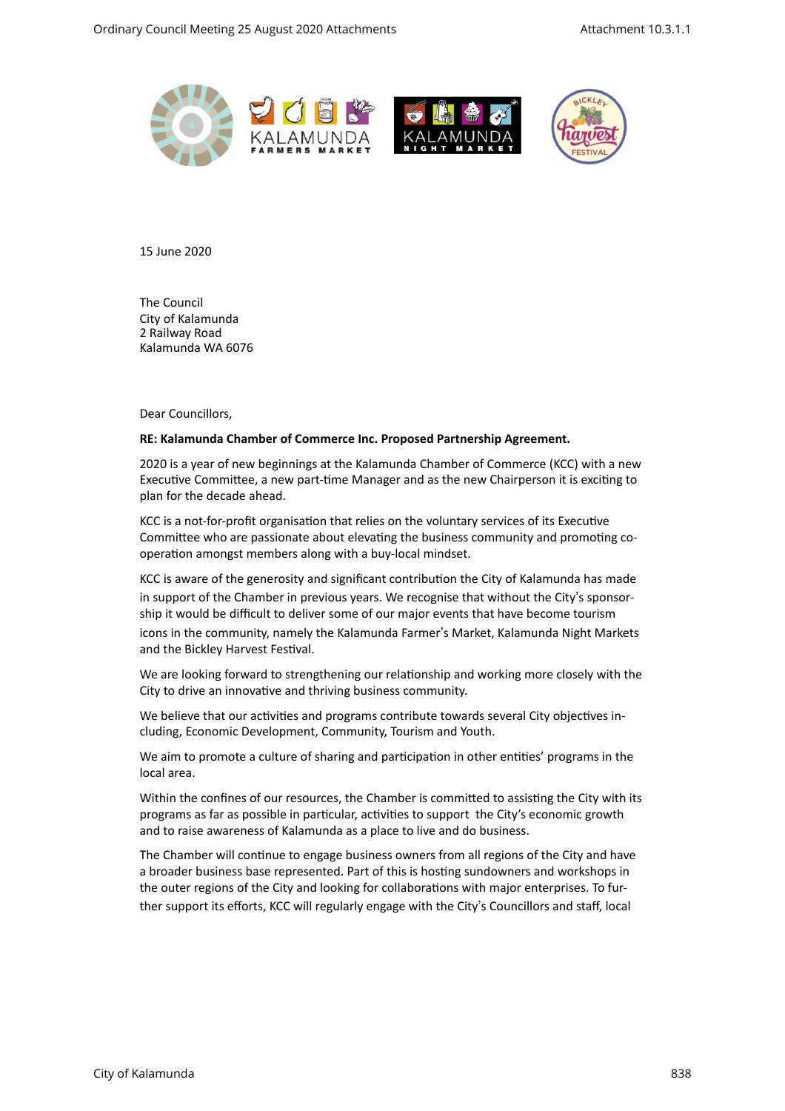



15 June 2020 

**The Council** City of Kalamunda 2 Railway Road Kalamunda WA 6076 

Dear Councillors.

#### **RE: Kalamunda Chamber of Commerce Inc. Proposed Partnership Agreement.**

2020 is a year of new beginnings at the Kalamunda Chamber of Commerce (KCC) with a new Executive Committee, a new part-time Manager and as the new Chairperson it is exciting to plan for the decade ahead.

KCC is a not-for-profit organisation that relies on the voluntary services of its Executive Committee who are passionate about elevating the business community and promoting cooperation amongst members along with a buy-local mindset.

KCC is aware of the generosity and significant contribution the City of Kalamunda has made in support of the Chamber in previous years. We recognise that without the City's sponsorship it would be difficult to deliver some of our major events that have become tourism icons in the community, namely the Kalamunda Farmer's Market, Kalamunda Night Markets and the Bickley Harvest Festival.

We are looking forward to strengthening our relationship and working more closely with the City to drive an innovative and thriving business community.

We believe that our activities and programs contribute towards several City objectives including, Economic Development, Community, Tourism and Youth.

We aim to promote a culture of sharing and participation in other entities' programs in the local area.

Within the confines of our resources, the Chamber is committed to assisting the City with its programs as far as possible in particular, activities to support the City's economic growth and to raise awareness of Kalamunda as a place to live and do business.

The Chamber will continue to engage business owners from all regions of the City and have a broader business base represented. Part of this is hosting sundowners and workshops in the outer regions of the City and looking for collaborations with major enterprises. To further support its efforts, KCC will regularly engage with the City's Councillors and staff, local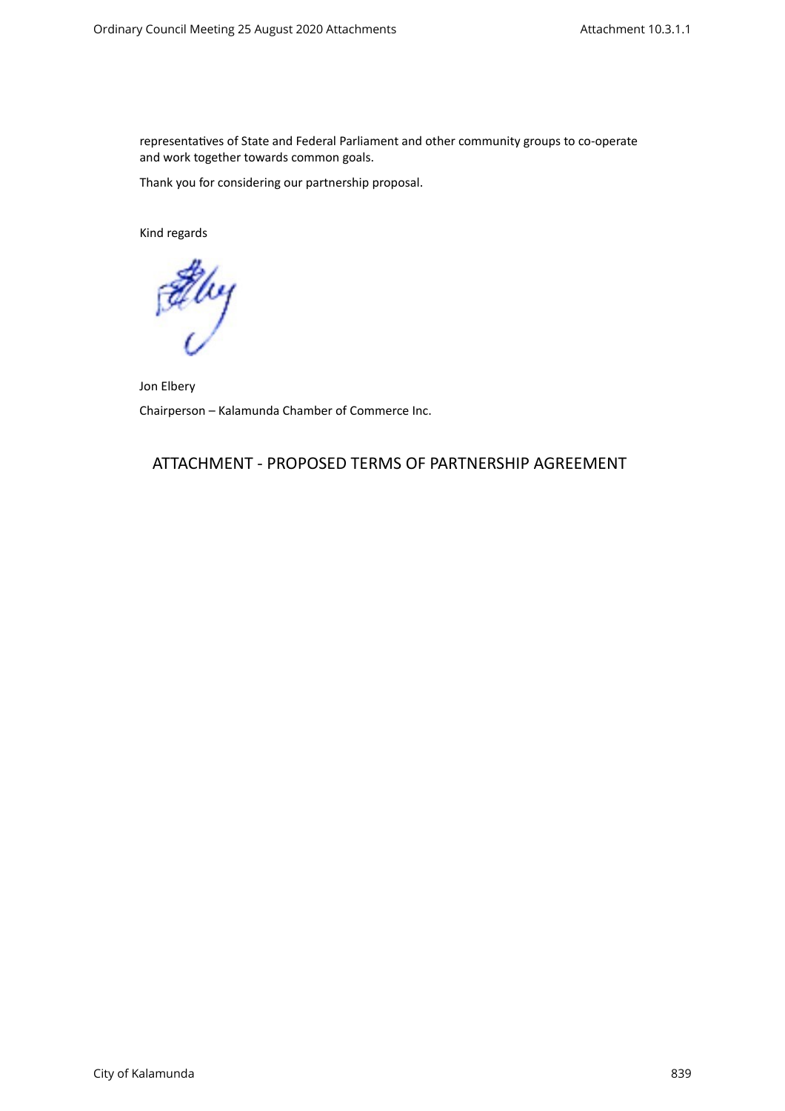representatives of State and Federal Parliament and other community groups to co-operate and work together towards common goals.

Thank you for considering our partnership proposal.

Kind regards

Elvy

Jon Elbery Chairperson - Kalamunda Chamber of Commerce Inc.

# ATTACHMENT - PROPOSED TERMS OF PARTNERSHIP AGREEMENT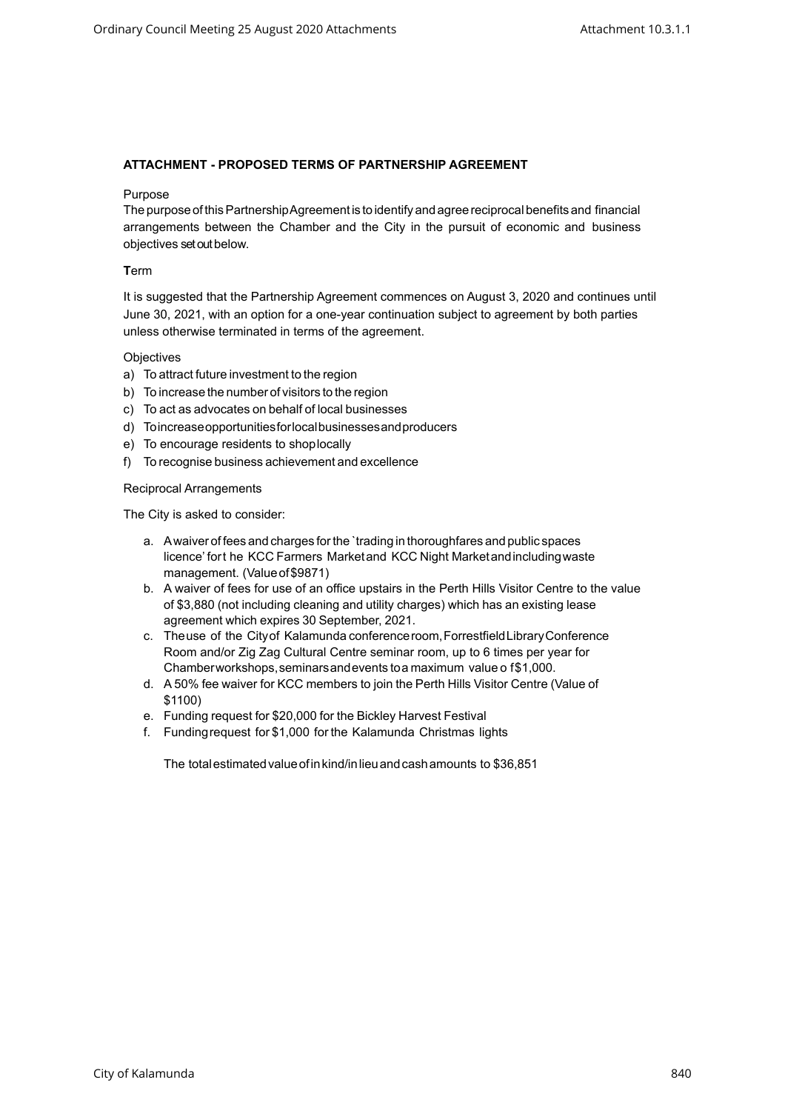### **ATTACHMENT - PROPOSED TERMS OF PARTNERSHIP AGREEMENT**

#### Purpose

The purposeofthisPartnershipAgreementis to identifyandagreereciprocal benefits and financial arrangements between the Chamber and the City in the pursuit of economic and business objectives set out below.

### **T**erm

It is suggested that the Partnership Agreement commences on August 3, 2020 and continues until June 30, 2021, with an option for a one-year continuation subject to agreement by both parties unless otherwise terminated in terms of the agreement.

#### **Objectives**

- a) To attract future investment to the region
- b) To increase the number of visitors to the region
- c) To act as advocates on behalf of local businesses
- d) Toincreaseopportunitiesforlocalbusinessesandproducers
- e) To encourage residents to shoplocally
- f) To recognise business achievement and excellence

#### Reciprocal Arrangements

The City is asked to consider:

- a. Awaiver of fees and charges forthe `trading in thoroughfares and public spaces licence' fort he KCC Farmers Marketand KCC Night Marketandincludingwaste management. (Valueof\$9871)
- b. A waiver of fees for use of an office upstairs in the Perth Hills Visitor Centre to the value of \$3,880 (not including cleaning and utility charges) which has an existing lease agreement which expires 30 September, 2021.
- c. Theuse of the Cityof Kalamunda conferenceroom,ForrestfieldLibraryConference Room and/or Zig Zag Cultural Centre seminar room, up to 6 times per year for Chamberworkshops,seminarsandevents toa maximum value o f\$1,000.
- d. A 50% fee waiver for KCC members to join the Perth Hills Visitor Centre (Value of \$1100)
- e. Funding request for \$20,000 for the Bickley Harvest Festival
- f. Fundingrequest for \$1,000 for the Kalamunda Christmas lights

The totalestimatedvalueofinkind/inlieuandcashamounts to \$36,851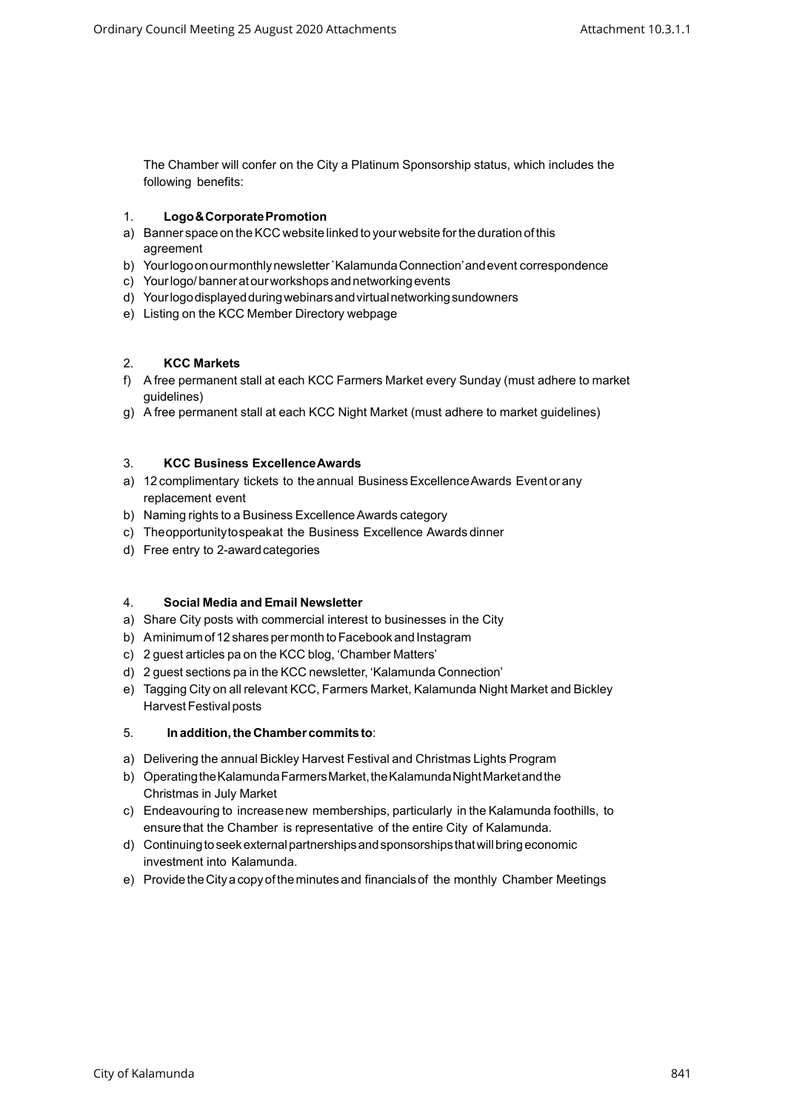The Chamber will confer on the City a Platinum Sponsorship status, which includes the following benefits:

# 1. **Logo&CorporatePromotion**

- a) Banner space on the KCC website linked to your website for the duration of this agreement
- b) Yourlogoonourmonthlynewsletter`KalamundaConnection'andevent correspondence
- c) Yourlogo/banneratourworkshopsandnetworkingevents
- d) Yourlogodisplayedduringwebinarsandvirtualnetworkingsundowners
- e) Listing on the KCC Member Directory webpage

# 2. **KCC Markets**

- f) A free permanent stall at each KCC Farmers Market every Sunday (must adhere to market guidelines)
- g) A free permanent stall at each KCC Night Market (must adhere to market guidelines)

# 3. **KCC Business ExcellenceAwards**

- a) 12 complimentary tickets to the annual Business Excellence Awards Event or any replacement event
- b) Naming rights to a Business ExcellenceAwards category
- c) Theopportunitytospeakat the Business Excellence Awards dinner
- d) Free entry to 2-awardcategories

### 4. **Social Media and Email Newsletter**

- a) Share City posts with commercial interest to businesses in the City
- b) Aminimum of 12 shares per month to Facebook and Instagram
- c) 2 guest articles pa on the KCC blog, 'Chamber Matters'
- d) 2 guest sections pa in the KCC newsletter, 'Kalamunda Connection'
- e) Tagging City on all relevant KCC, Farmers Market, Kalamunda Night Market and Bickley Harvest Festival posts

# 5. **Inaddition,the Chamber commits to**:

- a) Delivering the annual Bickley Harvest Festival and Christmas Lights Program
- b) Operating the Kalamunda Farmers Market, the Kalamunda Night Market and the Christmas in July Market
- c) Endeavouring to increasenew memberships, particularly in the Kalamunda foothills, to ensure that the Chamber is representative of the entire City of Kalamunda.
- d) Continuingtoseekexternalpartnershipsandsponsorships thatwillbringeconomic investment into Kalamunda.
- e) Provide the City a copy of the minutes and financials of the monthly Chamber Meetings